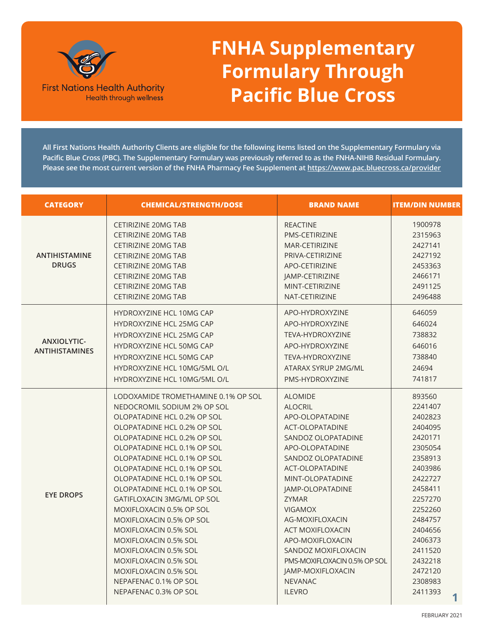

## **FNHA Supplementary Formulary Through Pacific Blue Cross**

**All First Nations Health Authority Clients are eligible for the following items listed on the Supplementary Formulary via Pacific Blue Cross (PBC). The Supplementary Formulary was previously referred to as the FNHA-NIHB Residual Formulary. Please see the most current version of the FNHA Pharmacy Fee Supplement at <https://www.pac.bluecross.ca/provider>**

| <b>CATEGORY</b>                      | <b>CHEMICAL/STRENGTH/DOSE</b>                              | <b>BRAND NAME</b>                     | <b>ITEM/DIN NUMBER</b> |
|--------------------------------------|------------------------------------------------------------|---------------------------------------|------------------------|
|                                      | <b>CETIRIZINE 20MG TAB</b><br><b>CETIRIZINE 20MG TAB</b>   | <b>REACTINE</b><br>PMS-CETIRIZINE     | 1900978<br>2315963     |
|                                      | CETIRIZINE 20MG TAB                                        | MAR-CETIRIZINE                        | 2427141                |
| <b>ANTIHISTAMINE</b><br><b>DRUGS</b> | CETIRIZINE 20MG TAB<br><b>CETIRIZINE 20MG TAB</b>          | PRIVA-CETIRIZINE<br>APO-CETIRIZINE    | 2427192<br>2453363     |
|                                      | CETIRIZINE 20MG TAB                                        | JAMP-CETIRIZINE                       | 2466171                |
|                                      | CETIRIZINE 20MG TAB                                        | MINT-CETIRIZINE                       | 2491125                |
|                                      | CETIRIZINE 20MG TAB                                        | NAT-CETIRIZINE                        | 2496488                |
|                                      | <b>HYDROXYZINE HCL 10MG CAP</b>                            | APO-HYDROXYZINE                       | 646059                 |
|                                      | <b>HYDROXYZINE HCL 25MG CAP</b>                            | APO-HYDROXYZINE                       | 646024                 |
| ANXIOLYTIC-                          | <b>HYDROXYZINE HCL 25MG CAP</b>                            | TEVA-HYDROXYZINE                      | 738832                 |
| <b>ANTIHISTAMINES</b>                | <b>HYDROXYZINE HCL 50MG CAP</b>                            | APO-HYDROXYZINE                       | 646016                 |
|                                      | <b>HYDROXYZINE HCL 50MG CAP</b>                            | TEVA-HYDROXYZINE                      | 738840                 |
|                                      | HYDROXYZINE HCL 10MG/5ML O/L                               | ATARAX SYRUP 2MG/ML                   | 24694                  |
|                                      | HYDROXYZINE HCL 10MG/5ML O/L                               | PMS-HYDROXYZINE                       | 741817                 |
|                                      | LODOXAMIDE TROMETHAMINE 0.1% OP SOL                        | <b>ALOMIDE</b>                        | 893560                 |
|                                      | NEDOCROMIL SODIUM 2% OP SOL                                | <b>ALOCRIL</b>                        | 2241407                |
|                                      | OLOPATADINE HCL 0.2% OP SOL                                | APO-OLOPATADINE                       | 2402823                |
|                                      | OLOPATADINE HCL 0.2% OP SOL                                | ACT-OLOPATADINE                       | 2404095                |
|                                      | OLOPATADINE HCL 0.2% OP SOL                                | SANDOZ OLOPATADINE                    | 2420171                |
|                                      | OLOPATADINE HCL 0.1% OP SOL<br>OLOPATADINE HCL 0.1% OP SOL | APO-OLOPATADINE<br>SANDOZ OLOPATADINE | 2305054<br>2358913     |
|                                      | OLOPATADINE HCL 0.1% OP SOL                                | ACT-OLOPATADINE                       | 2403986                |
|                                      | OLOPATADINE HCL 0.1% OP SOL                                | MINT-OLOPATADINE                      | 2422727                |
|                                      | OLOPATADINE HCL 0.1% OP SOL                                | JAMP-OLOPATADINE                      | 2458411                |
| <b>EYE DROPS</b>                     | GATIFLOXACIN 3MG/ML OP SOL                                 | <b>ZYMAR</b>                          | 2257270                |
|                                      | MOXIFLOXACIN 0.5% OP SOL                                   | <b>VIGAMOX</b>                        | 2252260                |
|                                      | MOXIFLOXACIN 0.5% OP SOL                                   | AG-MOXIFLOXACIN                       | 2484757                |
|                                      | MOXIFLOXACIN 0.5% SOL                                      | ACT MOXIFLOXACIN                      | 2404656                |
|                                      | MOXIFLOXACIN 0.5% SOL                                      | APO-MOXIFLOXACIN                      | 2406373                |
|                                      | MOXIFLOXACIN 0.5% SOL                                      | SANDOZ MOXIFLOXACIN                   | 2411520                |
|                                      | <b>MOXIFLOXACIN 0.5% SOL</b>                               | PMS-MOXIFLOXACIN 0.5% OP SOL          | 2432218                |
|                                      | MOXIFLOXACIN 0.5% SOL                                      | <b>JAMP-MOXIFLOXACIN</b>              | 2472120                |
|                                      | NEPAFENAC 0.1% OP SOL                                      | <b>NEVANAC</b>                        | 2308983                |
|                                      | NEPAFENAC 0.3% OP SOL                                      | <b>ILEVRO</b>                         | 2411393                |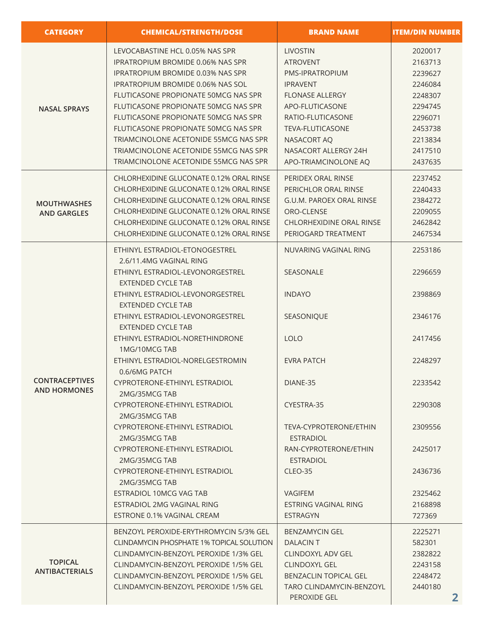| <b>CATEGORY</b>                              | <b>CHEMICAL/STRENGTH/DOSE</b>                                                                                                                                                | <b>BRAND NAME</b>                                                                    | <b>ITEM/DIN NUMBER</b>                   |
|----------------------------------------------|------------------------------------------------------------------------------------------------------------------------------------------------------------------------------|--------------------------------------------------------------------------------------|------------------------------------------|
| <b>NASAL SPRAYS</b>                          | LEVOCABASTINE HCL 0.05% NAS SPR<br><b>IPRATROPIUM BROMIDE 0.06% NAS SPR</b><br><b>IPRATROPIUM BROMIDE 0.03% NAS SPR</b>                                                      | <b>LIVOSTIN</b><br><b>ATROVENT</b><br>PMS-IPRATROPIUM                                | 2020017<br>2163713<br>2239627            |
|                                              | <b>IPRATROPIUM BROMIDE 0.06% NAS SOL</b><br>FLUTICASONE PROPIONATE 50MCG NAS SPR<br>FLUTICASONE PROPIONATE 50MCG NAS SPR                                                     | <b>IPRAVENT</b><br><b>FLONASE ALLERGY</b><br>APO-FLUTICASONE                         | 2246084<br>2248307<br>2294745            |
|                                              | FLUTICASONE PROPIONATE 50MCG NAS SPR<br>FLUTICASONE PROPIONATE 50MCG NAS SPR<br>TRIAMCINOLONE ACETONIDE 55MCG NAS SPR                                                        | RATIO-FLUTICASONE<br>TEVA-FLUTICASONE<br>NASACORT AQ                                 | 2296071<br>2453738<br>2213834            |
|                                              | TRIAMCINOLONE ACETONIDE 55MCG NAS SPR<br>TRIAMCINOLONE ACETONIDE 55MCG NAS SPR                                                                                               | NASACORT ALLERGY 24H<br>APO-TRIAMCINOLONE AQ                                         | 2417510<br>2437635                       |
| <b>MOUTHWASHES</b><br><b>AND GARGLES</b>     | CHLORHEXIDINE GLUCONATE 0.12% ORAL RINSE<br>CHLORHEXIDINE GLUCONATE 0.12% ORAL RINSE<br>CHLORHEXIDINE GLUCONATE 0.12% ORAL RINSE<br>CHLORHEXIDINE GLUCONATE 0.12% ORAL RINSE | PERIDEX ORAL RINSE<br>PERICHLOR ORAL RINSE<br>G.U.M. PAROEX ORAL RINSE<br>ORO-CLENSE | 2237452<br>2240433<br>2384272<br>2209055 |
|                                              | CHLORHEXIDINE GLUCONATE 0.12% ORAL RINSE<br>CHLORHEXIDINE GLUCONATE 0.12% ORAL RINSE                                                                                         | <b>CHLORHEXIDINE ORAL RINSE</b><br>PERIOGARD TREATMENT                               | 2462842<br>2467534                       |
|                                              | ETHINYL ESTRADIOL-ETONOGESTREL<br>2.6/11.4MG VAGINAL RING                                                                                                                    | NUVARING VAGINAL RING                                                                | 2253186                                  |
|                                              | ETHINYL ESTRADIOL-LEVONORGESTREL<br><b>EXTENDED CYCLE TAB</b><br>ETHINYL ESTRADIOL-LEVONORGESTREL                                                                            | <b>SEASONALE</b><br><b>INDAYO</b>                                                    | 2296659<br>2398869                       |
|                                              | <b>EXTENDED CYCLE TAB</b><br>ETHINYL ESTRADIOL-LEVONORGESTREL<br><b>EXTENDED CYCLE TAB</b>                                                                                   | SEASONIQUE                                                                           | 2346176                                  |
|                                              | ETHINYL ESTRADIOL-NORETHINDRONE<br>1MG/10MCG TAB                                                                                                                             | <b>LOLO</b>                                                                          | 2417456                                  |
|                                              | ETHINYL ESTRADIOL-NORELGESTROMIN<br>0.6/6MG PATCH                                                                                                                            | <b>EVRA PATCH</b>                                                                    | 2248297                                  |
| <b>CONTRACEPTIVES</b><br><b>AND HORMONES</b> | CYPROTERONE-ETHINYL ESTRADIOL<br>2MG/35MCG TAB                                                                                                                               | DIANE-35                                                                             | 2233542                                  |
|                                              | CYPROTERONE-ETHINYL ESTRADIOL<br>2MG/35MCG TAB                                                                                                                               | CYESTRA-35                                                                           | 2290308                                  |
|                                              | CYPROTERONE-ETHINYL ESTRADIOL<br>2MG/35MCG TAB                                                                                                                               | TEVA-CYPROTERONE/ETHIN<br><b>ESTRADIOL</b>                                           | 2309556                                  |
|                                              | CYPROTERONE-ETHINYL ESTRADIOL<br>2MG/35MCG TAB                                                                                                                               | RAN-CYPROTERONE/ETHIN<br><b>ESTRADIOL</b>                                            | 2425017                                  |
|                                              | CYPROTERONE-ETHINYL ESTRADIOL<br>2MG/35MCG TAB                                                                                                                               | CLEO-35                                                                              | 2436736                                  |
|                                              | ESTRADIOL 10MCG VAG TAB                                                                                                                                                      | <b>VAGIFEM</b>                                                                       | 2325462                                  |
|                                              | ESTRADIOL 2MG VAGINAL RING<br>ESTRONE 0.1% VAGINAL CREAM                                                                                                                     | ESTRING VAGINAL RING<br>ESTRAGYN                                                     | 2168898<br>727369                        |
|                                              | BENZOYL PEROXIDE-ERYTHROMYCIN 5/3% GEL<br><b>CLINDAMYCIN PHOSPHATE 1% TOPICAL SOLUTION</b>                                                                                   | <b>BENZAMYCIN GEL</b><br>DALACIN T                                                   | 2225271<br>582301                        |
| <b>TOPICAL</b><br><b>ANTIBACTERIALS</b>      | CLINDAMYCIN-BENZOYL PEROXIDE 1/3% GEL                                                                                                                                        | CLINDOXYL ADV GEL                                                                    | 2382822                                  |
|                                              | CLINDAMYCIN-BENZOYL PEROXIDE 1/5% GEL<br>CLINDAMYCIN-BENZOYL PEROXIDE 1/5% GEL                                                                                               | <b>CLINDOXYL GEL</b><br><b>BENZACLIN TOPICAL GEL</b>                                 | 2243158<br>2248472                       |
|                                              | CLINDAMYCIN-BENZOYL PEROXIDE 1/5% GEL                                                                                                                                        | <b>TARO CLINDAMYCIN-BENZOYL</b><br>PEROXIDE GEL                                      | 2440180<br>$\mathbf{2}$                  |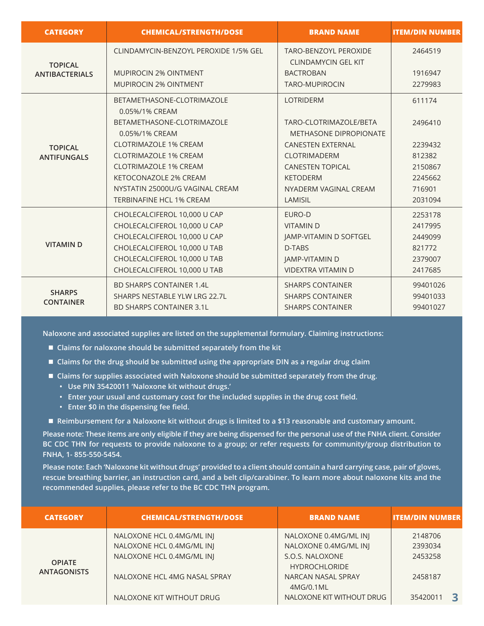| <b>CATEGORY</b>                   | <b>CHEMICAL/STRENGTH/DOSE</b>                | <b>BRAND NAME</b>                                          | <b>ITEM/DIN NUMBER</b> |
|-----------------------------------|----------------------------------------------|------------------------------------------------------------|------------------------|
| <b>TOPICAL</b>                    | CLINDAMYCIN-BENZOYL PEROXIDE 1/5% GEL        | <b>TARO-BENZOYL PEROXIDE</b><br><b>CLINDAMYCIN GEL KIT</b> | 2464519                |
| <b>ANTIBACTERIALS</b>             | <b>MUPIROCIN 2% OINTMENT</b>                 | <b>BACTROBAN</b>                                           | 1916947                |
|                                   | <b>MUPIROCIN 2% OINTMENT</b>                 | <b>TARO-MUPIROCIN</b>                                      | 2279983                |
|                                   | BETAMETHASONE-CLOTRIMAZOLE<br>0.05%/1% CREAM | <b>LOTRIDERM</b>                                           | 611174                 |
|                                   | BETAMETHASONE-CLOTRIMAZOLE<br>0.05%/1% CREAM | TARO-CLOTRIMAZOLE/BETA<br>METHASONE DIPROPIONATE           | 2496410                |
| <b>TOPICAL</b>                    | <b>CLOTRIMAZOLE 1% CREAM</b>                 | <b>CANESTEN EXTERNAL</b>                                   | 2239432                |
| <b>ANTIFUNGALS</b>                | <b>CLOTRIMAZOLE 1% CREAM</b>                 | <b>CLOTRIMADERM</b>                                        | 812382                 |
|                                   | <b>CLOTRIMAZOLE 1% CREAM</b>                 | <b>CANESTEN TOPICAL</b>                                    | 2150867                |
|                                   | <b>KETOCONAZOLE 2% CREAM</b>                 | <b>KETODERM</b>                                            | 2245662                |
|                                   | NYSTATIN 25000U/G VAGINAL CREAM              | NYADERM VAGINAL CREAM                                      | 716901                 |
|                                   | <b>TERBINAFINE HCL 1% CREAM</b>              | <b>LAMISIL</b>                                             | 2031094                |
|                                   | CHOLECALCIFEROL 10,000 U CAP                 | EURO-D                                                     | 2253178                |
|                                   | CHOLECALCIFEROL 10,000 U CAP                 | <b>VITAMIND</b>                                            | 2417995                |
|                                   | CHOLECALCIFEROL 10,000 U CAP                 | JAMP-VITAMIN D SOFTGEL                                     | 2449099                |
| <b>VITAMIND</b>                   | CHOLECALCIFEROL 10,000 U TAB                 | D-TABS                                                     | 821772                 |
|                                   | CHOLECALCIFEROL 10,000 U TAB                 | JAMP-VITAMIN D                                             | 2379007                |
|                                   | CHOLECALCIFEROL 10,000 U TAB                 | <b>VIDEXTRA VITAMIN D</b>                                  | 2417685                |
| <b>SHARPS</b><br><b>CONTAINER</b> | <b>BD SHARPS CONTAINER 1.4L</b>              | <b>SHARPS CONTAINER</b>                                    | 99401026               |
|                                   | SHARPS NESTABLE YLW LRG 22.7L                | <b>SHARPS CONTAINER</b>                                    | 99401033               |
|                                   | <b>BD SHARPS CONTAINER 3.1L</b>              | <b>SHARPS CONTAINER</b>                                    | 99401027               |
|                                   |                                              |                                                            |                        |

**Naloxone and associated supplies are listed on the supplemental formulary. Claiming instructions:**

- Claims for naloxone should be submitted separately from the kit
- Claims for the drug should be submitted using the appropriate DIN as a regular drug claim
- **E** Claims for supplies associated with Naloxone should be submitted separately from the drug.
	- **Use PIN 35420011 'Naloxone kit without drugs.'**
	- **Enter your usual and customary cost for the included supplies in the drug cost field.**
	- **Enter \$0 in the dispensing fee field.**
- Reimbursement for a Naloxone kit without drugs is limited to a \$13 reasonable and customary amount.

**Please note: These items are only eligible if they are being dispensed for the personal use of the FNHA client. Consider BC CDC THN for requests to provide naloxone to a group; or refer requests for community/group distribution to FNHA, 1- 855-550-5454.**

**Please note: Each 'Naloxone kit without drugs' provided to a client should contain a hard carrying case, pair of gloves, rescue breathing barrier, an instruction card, and a belt clip/carabiner. To learn more about naloxone kits and the recommended supplies, please refer to the BC CDC THN program.**

| <b>CATEGORY</b>                     | <b>CHEMICAL/STRENGTH/DOSE</b> | <b>BRAND NAME</b>         | <b>ITEM/DIN NUMBER</b> |
|-------------------------------------|-------------------------------|---------------------------|------------------------|
| <b>OPIATE</b><br><b>ANTAGONISTS</b> | NALOXONE HCL 0.4MG/ML INJ     | NALOXONE 0.4MG/ML INJ     | 2148706                |
|                                     | NALOXONE HCL 0.4MG/ML INJ     | NALOXONE 0.4MG/ML INJ     | 2393034                |
|                                     | NALOXONE HCL 0.4MG/ML INJ     | S.O.S. NALOXONE           | 2453258                |
|                                     |                               | <b>HYDROCHLORIDE</b>      |                        |
|                                     | NALOXONE HCL 4MG NASAL SPRAY  | NARCAN NASAL SPRAY        | 2458187                |
|                                     |                               | 4MG/0.1ML                 |                        |
|                                     | NALOXONE KIT WITHOUT DRUG     | NALOXONE KIT WITHOUT DRUG | 35420011               |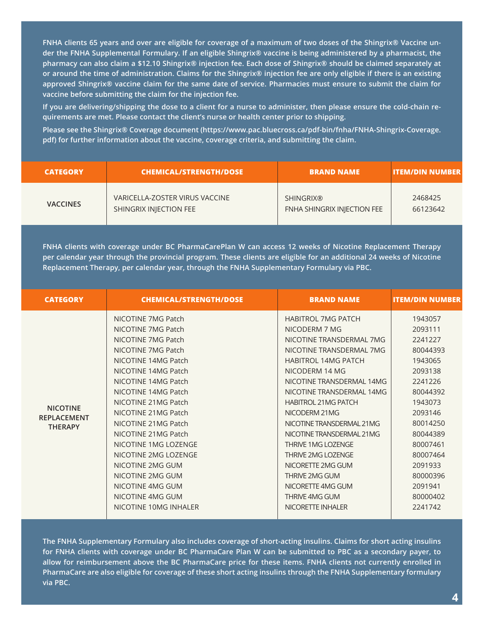**FNHA clients 65 years and over are eligible for coverage of a maximum of two doses of the Shingrix® Vaccine under the FNHA Supplemental Formulary. If an eligible Shingrix® vaccine is being administered by a pharmacist, the pharmacy can also claim a \$12.10 Shingrix® injection fee. Each dose of Shingrix® should be claimed separately at or around the time of administration. Claims for the Shingrix® injection fee are only eligible if there is an existing approved Shingrix® vaccine claim for the same date of service. Pharmacies must ensure to submit the claim for vaccine before submitting the claim for the injection fee.**

**If you are delivering/shipping the dose to a client for a nurse to administer, then please ensure the cold-chain requirements are met. Please contact the client's nurse or health center prior to shipping.** 

**Please see the Shingrix® Coverage document (https://www.pac.bluecross.ca/pdf-bin/fnha/FNHA-Shingrix-Coverage. pdf) for further information about the vaccine, coverage criteria, and submitting the claim.**

| <b>CATEGORY</b> | <b>CHEMICAL/STRENGTH/DOSE</b>  | <b>BRAND NAME</b>                  | <b>ITEM/DIN NUMBER</b> |
|-----------------|--------------------------------|------------------------------------|------------------------|
| <b>VACCINES</b> | VARICELLA-ZOSTER VIRUS VACCINE | SHINGRIX®                          | 2468425                |
|                 | SHINGRIX INJECTION FEE         | <b>FNHA SHINGRIX INJECTION FEE</b> | 66123642               |

**FNHA clients with coverage under BC PharmaCarePlan W can access 12 weeks of Nicotine Replacement Therapy per calendar year through the provincial program. These clients are eligible for an additional 24 weeks of Nicotine Replacement Therapy, per calendar year, through the FNHA Supplementary Formulary via PBC.**

| <b>CATEGORY</b>                                         | <b>CHEMICAL/STRENGTH/DOSE</b>                                                                                                                                                                                                                                                                                                                                                                                                          | <b>BRAND NAME</b>                                                                                                                                                                                                                                                                                                                                                                                                                                                                         | <b>ITEM/DIN NUMBER</b>                                                                                                                                                                                                |
|---------------------------------------------------------|----------------------------------------------------------------------------------------------------------------------------------------------------------------------------------------------------------------------------------------------------------------------------------------------------------------------------------------------------------------------------------------------------------------------------------------|-------------------------------------------------------------------------------------------------------------------------------------------------------------------------------------------------------------------------------------------------------------------------------------------------------------------------------------------------------------------------------------------------------------------------------------------------------------------------------------------|-----------------------------------------------------------------------------------------------------------------------------------------------------------------------------------------------------------------------|
| <b>NICOTINE</b><br><b>REPLACEMENT</b><br><b>THERAPY</b> | NICOTINE 7MG Patch<br>NICOTINE 7MG Patch<br>NICOTINE 7MG Patch<br>NICOTINE 7MG Patch<br>NICOTINE 14MG Patch<br>NICOTINE 14MG Patch<br>NICOTINE 14MG Patch<br>NICOTINE 14MG Patch<br>NICOTINE 21MG Patch<br>NICOTINE 21MG Patch<br>NICOTINE 21MG Patch<br>NICOTINE 21MG Patch<br>NICOTINE 1MG LOZENGE<br>NICOTINE 2MG LOZENGE<br>NICOTINE 2MG GUM<br>NICOTINE 2MG GUM<br>NICOTINE 4MG GUM<br>NICOTINE 4MG GUM<br>NICOTINE 10MG INHAI FR | <b>HABITROL 7MG PATCH</b><br>NICODERM 7 MG<br>NICOTINE TRANSDERMAL 7MG<br>NICOTINE TRANSDERMAL 7MG<br><b>HABITROL 14MG PATCH</b><br>NICODERM 14 MG<br>NICOTINE TRANSDERMAL 14MG<br>NICOTINE TRANSDERMAL 14MG<br><b>HABITROL 21MG PATCH</b><br>NICODERM 21MG<br>NICOTINE TRANSDERMAL 21MG<br>NICOTINE TRANSDERMAL 21MG<br><b>THRIVE 1MG LOZENGE</b><br><b>THRIVE 2MG LOZENGE</b><br>NICORETTE 2MG GUM<br>THRIVE 2MG GUM<br>NICORETTE 4MG GUM<br><b>THRIVE 4MG GUM</b><br>NICORETTE INHALER | 1943057<br>2093111<br>2241227<br>80044393<br>1943065<br>2093138<br>2241226<br>80044392<br>1943073<br>2093146<br>80014250<br>80044389<br>80007461<br>80007464<br>2091933<br>80000396<br>2091941<br>80000402<br>2241742 |
|                                                         |                                                                                                                                                                                                                                                                                                                                                                                                                                        |                                                                                                                                                                                                                                                                                                                                                                                                                                                                                           |                                                                                                                                                                                                                       |

**The FNHA Supplementary Formulary also includes coverage of short-acting insulins. Claims for short acting insulins for FNHA clients with coverage under BC PharmaCare Plan W can be submitted to PBC as a secondary payer, to allow for reimbursement above the BC PharmaCare price for these items. FNHA clients not currently enrolled in PharmaCare are also eligible for coverage of these short acting insulins through the FNHA Supplementary formulary via PBC.**